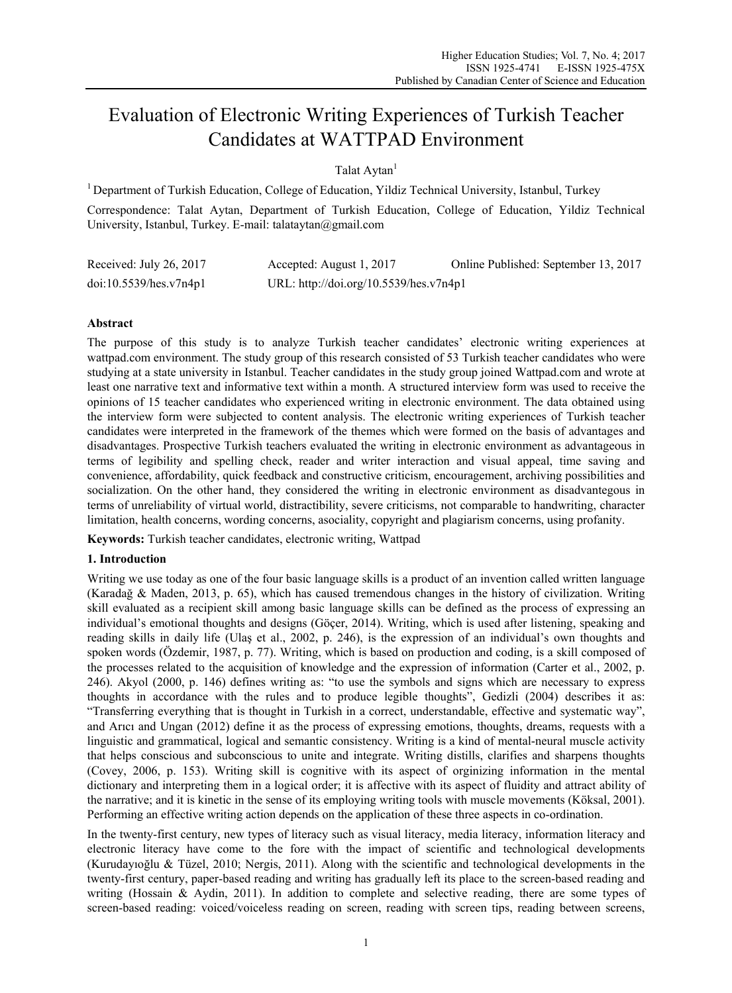# Evaluation of Electronic Writing Experiences of Turkish Teacher Candidates at WATTPAD Environment

Talat Aytan<sup>1</sup>

<sup>1</sup> Department of Turkish Education, College of Education, Yildiz Technical University, Istanbul, Turkey

Correspondence: Talat Aytan, Department of Turkish Education, College of Education, Yildiz Technical University, Istanbul, Turkey. E-mail: talataytan@gmail.com

| Received: July 26, 2017 | Accepted: August 1, 2017               | Online Published: September 13, 2017 |
|-------------------------|----------------------------------------|--------------------------------------|
| doi:10.5539/hes.v7n4p1  | URL: http://doi.org/10.5539/hes.v7n4p1 |                                      |

# **Abstract**

The purpose of this study is to analyze Turkish teacher candidates' electronic writing experiences at wattpad.com environment. The study group of this research consisted of 53 Turkish teacher candidates who were studying at a state university in Istanbul. Teacher candidates in the study group joined Wattpad.com and wrote at least one narrative text and informative text within a month. A structured interview form was used to receive the opinions of 15 teacher candidates who experienced writing in electronic environment. The data obtained using the interview form were subjected to content analysis. The electronic writing experiences of Turkish teacher candidates were interpreted in the framework of the themes which were formed on the basis of advantages and disadvantages. Prospective Turkish teachers evaluated the writing in electronic environment as advantageous in terms of legibility and spelling check, reader and writer interaction and visual appeal, time saving and convenience, affordability, quick feedback and constructive criticism, encouragement, archiving possibilities and socialization. On the other hand, they considered the writing in electronic environment as disadvantegous in terms of unreliability of virtual world, distractibility, severe criticisms, not comparable to handwriting, character limitation, health concerns, wording concerns, asociality, copyright and plagiarism concerns, using profanity.

**Keywords:** Turkish teacher candidates, electronic writing, Wattpad

# **1. Introduction**

Writing we use today as one of the four basic language skills is a product of an invention called written language (Karadağ & Maden, 2013, p. 65), which has caused tremendous changes in the history of civilization. Writing skill evaluated as a recipient skill among basic language skills can be defined as the process of expressing an individual's emotional thoughts and designs (Göçer, 2014). Writing, which is used after listening, speaking and reading skills in daily life (Ulaş et al., 2002, p. 246), is the expression of an individual's own thoughts and spoken words (Özdemir, 1987, p. 77). Writing, which is based on production and coding, is a skill composed of the processes related to the acquisition of knowledge and the expression of information (Carter et al., 2002, p. 246). Akyol (2000, p. 146) defines writing as: "to use the symbols and signs which are necessary to express thoughts in accordance with the rules and to produce legible thoughts", Gedizli (2004) describes it as: "Transferring everything that is thought in Turkish in a correct, understandable, effective and systematic way", and Arıcı and Ungan (2012) define it as the process of expressing emotions, thoughts, dreams, requests with a linguistic and grammatical, logical and semantic consistency. Writing is a kind of mental-neural muscle activity that helps conscious and subconscious to unite and integrate. Writing distills, clarifies and sharpens thoughts (Covey, 2006, p. 153). Writing skill is cognitive with its aspect of orginizing information in the mental dictionary and interpreting them in a logical order; it is affective with its aspect of fluidity and attract ability of the narrative; and it is kinetic in the sense of its employing writing tools with muscle movements (Köksal, 2001). Performing an effective writing action depends on the application of these three aspects in co-ordination.

In the twenty-first century, new types of literacy such as visual literacy, media literacy, information literacy and electronic literacy have come to the fore with the impact of scientific and technological developments (Kurudayıoğlu & Tüzel, 2010; Nergis, 2011). Along with the scientific and technological developments in the twenty-first century, paper-based reading and writing has gradually left its place to the screen-based reading and writing (Hossain & Aydin, 2011). In addition to complete and selective reading, there are some types of screen-based reading: voiced/voiceless reading on screen, reading with screen tips, reading between screens,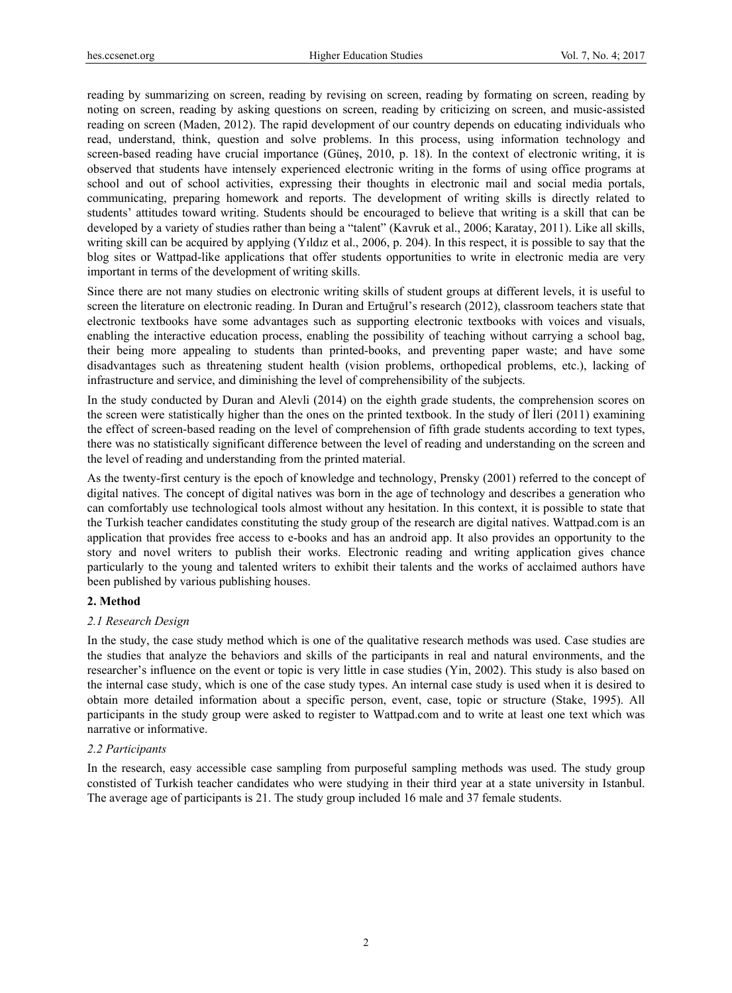reading by summarizing on screen, reading by revising on screen, reading by formating on screen, reading by noting on screen, reading by asking questions on screen, reading by criticizing on screen, and music-assisted reading on screen (Maden, 2012). The rapid development of our country depends on educating individuals who read, understand, think, question and solve problems. In this process, using information technology and screen-based reading have crucial importance (Güneş, 2010, p. 18). In the context of electronic writing, it is observed that students have intensely experienced electronic writing in the forms of using office programs at school and out of school activities, expressing their thoughts in electronic mail and social media portals, communicating, preparing homework and reports. The development of writing skills is directly related to students' attitudes toward writing. Students should be encouraged to believe that writing is a skill that can be developed by a variety of studies rather than being a "talent" (Kavruk et al., 2006; Karatay, 2011). Like all skills, writing skill can be acquired by applying (Yıldız et al., 2006, p. 204). In this respect, it is possible to say that the blog sites or Wattpad-like applications that offer students opportunities to write in electronic media are very important in terms of the development of writing skills.

Since there are not many studies on electronic writing skills of student groups at different levels, it is useful to screen the literature on electronic reading. In Duran and Ertuğrul's research (2012), classroom teachers state that electronic textbooks have some advantages such as supporting electronic textbooks with voices and visuals, enabling the interactive education process, enabling the possibility of teaching without carrying a school bag, their being more appealing to students than printed-books, and preventing paper waste; and have some disadvantages such as threatening student health (vision problems, orthopedical problems, etc.), lacking of infrastructure and service, and diminishing the level of comprehensibility of the subjects.

In the study conducted by Duran and Alevli (2014) on the eighth grade students, the comprehension scores on the screen were statistically higher than the ones on the printed textbook. In the study of İleri (2011) examining the effect of screen-based reading on the level of comprehension of fifth grade students according to text types, there was no statistically significant difference between the level of reading and understanding on the screen and the level of reading and understanding from the printed material.

As the twenty-first century is the epoch of knowledge and technology, Prensky (2001) referred to the concept of digital natives. The concept of digital natives was born in the age of technology and describes a generation who can comfortably use technological tools almost without any hesitation. In this context, it is possible to state that the Turkish teacher candidates constituting the study group of the research are digital natives. Wattpad.com is an application that provides free access to e-books and has an android app. It also provides an opportunity to the story and novel writers to publish their works. Electronic reading and writing application gives chance particularly to the young and talented writers to exhibit their talents and the works of acclaimed authors have been published by various publishing houses.

# **2. Method**

# *2.1 Research Design*

In the study, the case study method which is one of the qualitative research methods was used. Case studies are the studies that analyze the behaviors and skills of the participants in real and natural environments, and the researcher's influence on the event or topic is very little in case studies (Yin, 2002). This study is also based on the internal case study, which is one of the case study types. An internal case study is used when it is desired to obtain more detailed information about a specific person, event, case, topic or structure (Stake, 1995). All participants in the study group were asked to register to Wattpad.com and to write at least one text which was narrative or informative.

## *2.2 Participants*

In the research, easy accessible case sampling from purposeful sampling methods was used. The study group constisted of Turkish teacher candidates who were studying in their third year at a state university in Istanbul. The average age of participants is 21. The study group included 16 male and 37 female students.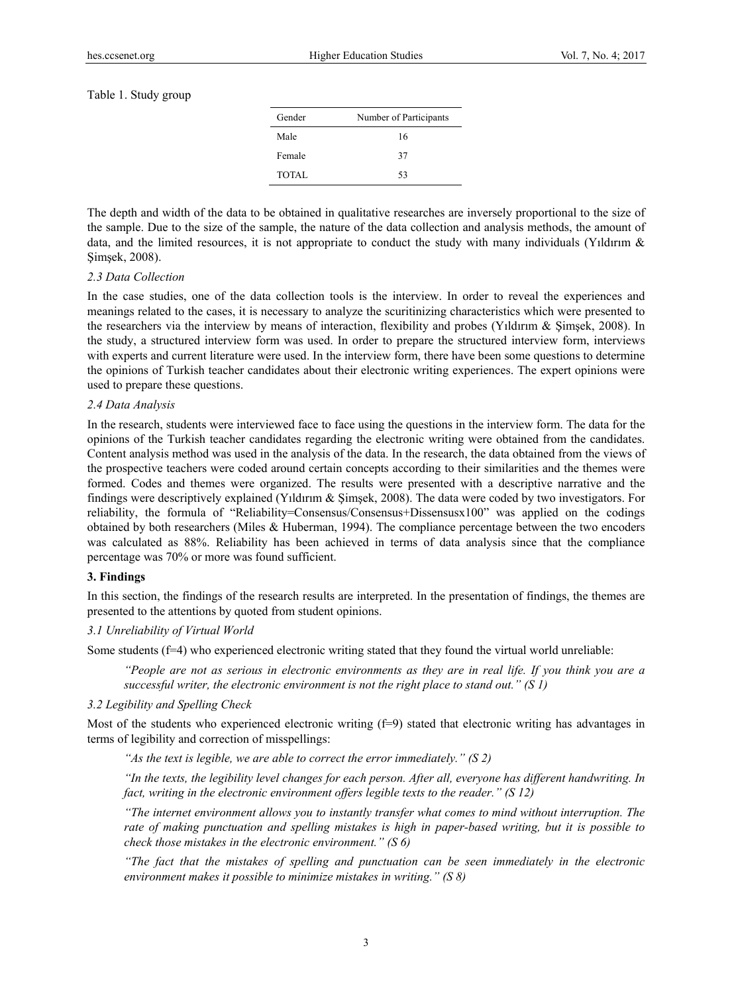#### Table 1. Study group

| Gender       | Number of Participants |  |
|--------------|------------------------|--|
| Male         | 16                     |  |
| Female       | 37                     |  |
| <b>TOTAL</b> | 53                     |  |

The depth and width of the data to be obtained in qualitative researches are inversely proportional to the size of the sample. Due to the size of the sample, the nature of the data collection and analysis methods, the amount of data, and the limited resources, it is not appropriate to conduct the study with many individuals (Yıldırım & Simsek, 2008).

#### *2.3 Data Collection*

In the case studies, one of the data collection tools is the interview. In order to reveal the experiences and meanings related to the cases, it is necessary to analyze the scuritinizing characteristics which were presented to the researchers via the interview by means of interaction, flexibility and probes (Yıldırım & Şimşek, 2008). In the study, a structured interview form was used. In order to prepare the structured interview form, interviews with experts and current literature were used. In the interview form, there have been some questions to determine the opinions of Turkish teacher candidates about their electronic writing experiences. The expert opinions were used to prepare these questions.

# *2.4 Data Analysis*

In the research, students were interviewed face to face using the questions in the interview form. The data for the opinions of the Turkish teacher candidates regarding the electronic writing were obtained from the candidates. Content analysis method was used in the analysis of the data. In the research, the data obtained from the views of the prospective teachers were coded around certain concepts according to their similarities and the themes were formed. Codes and themes were organized. The results were presented with a descriptive narrative and the findings were descriptively explained (Yıldırım & Şimşek, 2008). The data were coded by two investigators. For reliability, the formula of "Reliability=Consensus/Consensus+Dissensusx100" was applied on the codings obtained by both researchers (Miles & Huberman, 1994). The compliance percentage between the two encoders was calculated as 88%. Reliability has been achieved in terms of data analysis since that the compliance percentage was 70% or more was found sufficient.

## **3. Findings**

In this section, the findings of the research results are interpreted. In the presentation of findings, the themes are presented to the attentions by quoted from student opinions.

#### *3.1 Unreliability of Virtual World*

Some students  $(f=4)$  who experienced electronic writing stated that they found the virtual world unreliable:

*"People are not as serious in electronic environments as they are in real life. If you think you are a successful writer, the electronic environment is not the right place to stand out." (S 1)* 

#### *3.2 Legibility and Spelling Check*

Most of the students who experienced electronic writing  $(f=9)$  stated that electronic writing has advantages in terms of legibility and correction of misspellings:

*"As the text is legible, we are able to correct the error immediately." (S 2)* 

*"In the texts, the legibility level changes for each person. After all, everyone has different handwriting. In fact, writing in the electronic environment offers legible texts to the reader." (S 12)* 

*"The internet environment allows you to instantly transfer what comes to mind without interruption. The rate of making punctuation and spelling mistakes is high in paper-based writing, but it is possible to check those mistakes in the electronic environment." (S 6)* 

*"The fact that the mistakes of spelling and punctuation can be seen immediately in the electronic environment makes it possible to minimize mistakes in writing." (S 8)*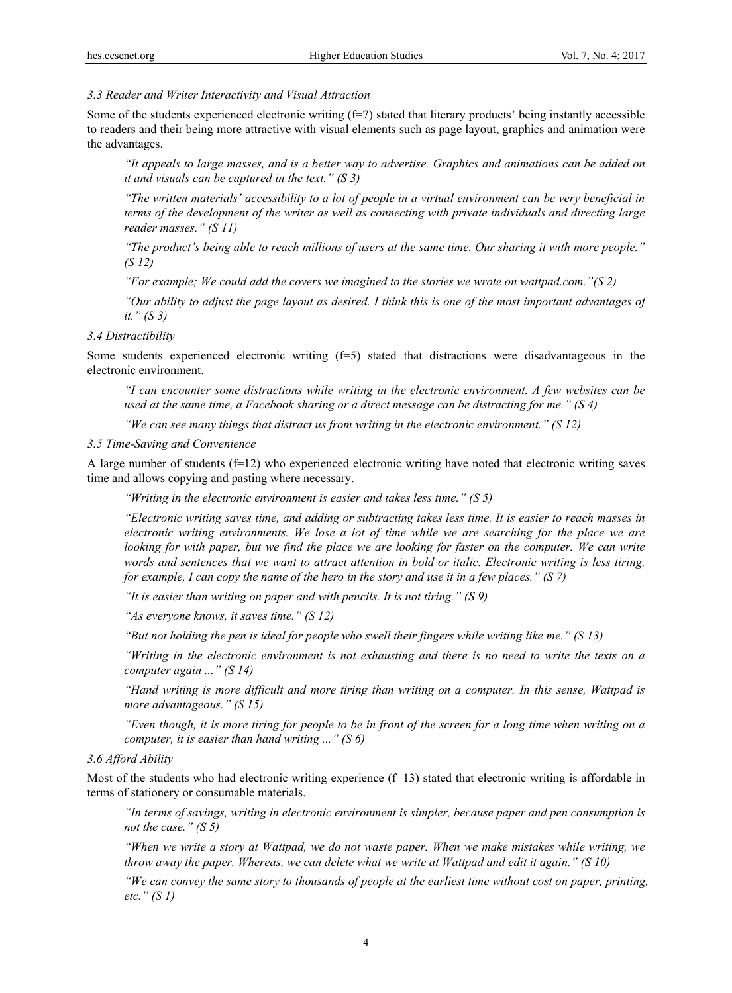*3.3 Reader and Writer Interactivity and Visual Attraction* 

Some of the students experienced electronic writing  $(f=7)$  stated that literary products' being instantly accessible to readers and their being more attractive with visual elements such as page layout, graphics and animation were the advantages.

*"It appeals to large masses, and is a better way to advertise. Graphics and animations can be added on it and visuals can be captured in the text." (S 3)* 

*"The written materials' accessibility to a lot of people in a virtual environment can be very beneficial in terms of the development of the writer as well as connecting with private individuals and directing large reader masses." (S 11)* 

*"The product's being able to reach millions of users at the same time. Our sharing it with more people." (S 12)* 

*"For example; We could add the covers we imagined to the stories we wrote on wattpad.com."(S 2)* 

*"Our ability to adjust the page layout as desired. I think this is one of the most important advantages of it." (S 3)*

#### *3.4 Distractibility*

Some students experienced electronic writing (f=5) stated that distractions were disadvantageous in the electronic environment.

*"I can encounter some distractions while writing in the electronic environment. A few websites can be used at the same time, a Facebook sharing or a direct message can be distracting for me." (S 4)* 

*"We can see many things that distract us from writing in the electronic environment." (S 12)* 

*3.5 Time-Saving and Convenience* 

A large number of students (f=12) who experienced electronic writing have noted that electronic writing saves time and allows copying and pasting where necessary.

*"Writing in the electronic environment is easier and takes less time." (S 5)* 

*"Electronic writing saves time, and adding or subtracting takes less time. It is easier to reach masses in electronic writing environments. We lose a lot of time while we are searching for the place we are looking for with paper, but we find the place we are looking for faster on the computer. We can write words and sentences that we want to attract attention in bold or italic. Electronic writing is less tiring, for example, I can copy the name of the hero in the story and use it in a few places." (S 7)* 

*"It is easier than writing on paper and with pencils. It is not tiring." (S 9)* 

*"As everyone knows, it saves time." (S 12)* 

*"But not holding the pen is ideal for people who swell their fingers while writing like me." (S 13)* 

*"Writing in the electronic environment is not exhausting and there is no need to write the texts on a computer again ..." (S 14)* 

*"Hand writing is more difficult and more tiring than writing on a computer. In this sense, Wattpad is more advantageous." (S 15)* 

*"Even though, it is more tiring for people to be in front of the screen for a long time when writing on a computer, it is easier than hand writing ..." (S 6)* 

*3.6 Afford Ability* 

Most of the students who had electronic writing experience  $(f=13)$  stated that electronic writing is affordable in terms of stationery or consumable materials.

*"In terms of savings, writing in electronic environment is simpler, because paper and pen consumption is not the case." (S 5)* 

*"When we write a story at Wattpad, we do not waste paper. When we make mistakes while writing, we throw away the paper. Whereas, we can delete what we write at Wattpad and edit it again." (S 10)* 

*"We can convey the same story to thousands of people at the earliest time without cost on paper, printing, etc." (S 1)*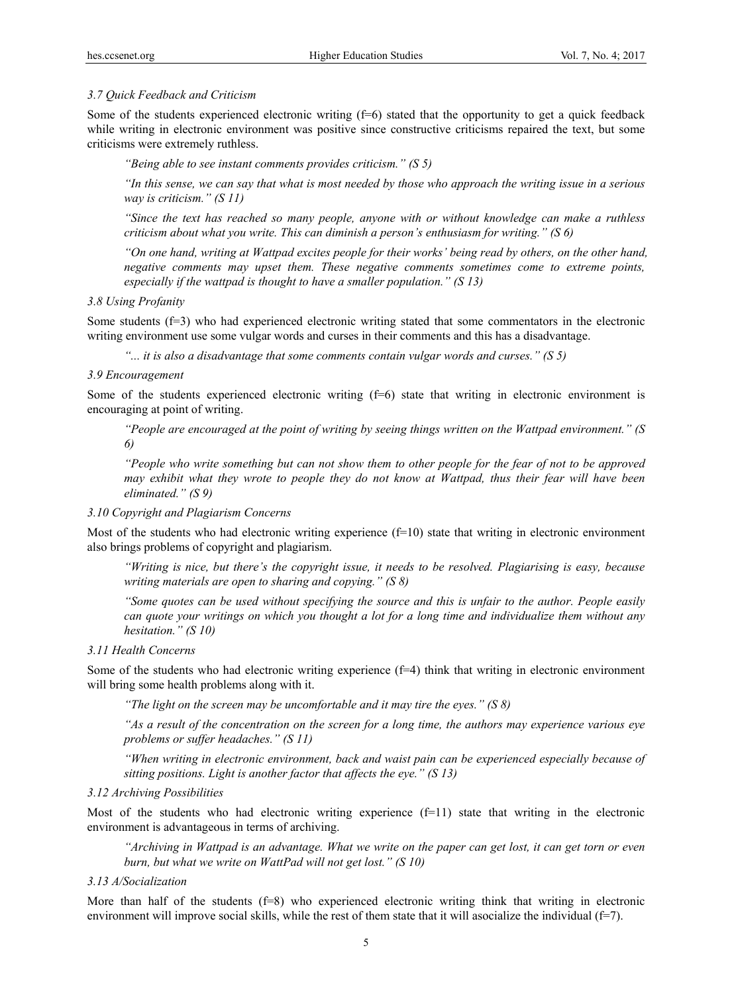## *3.7 Quick Feedback and Criticism*

Some of the students experienced electronic writing  $(f=6)$  stated that the opportunity to get a quick feedback while writing in electronic environment was positive since constructive criticisms repaired the text, but some criticisms were extremely ruthless.

*"Being able to see instant comments provides criticism." (S 5)* 

*"In this sense, we can say that what is most needed by those who approach the writing issue in a serious way is criticism." (S 11)* 

*"Since the text has reached so many people, anyone with or without knowledge can make a ruthless criticism about what you write. This can diminish a person's enthusiasm for writing." (S 6)* 

*"On one hand, writing at Wattpad excites people for their works' being read by others, on the other hand, negative comments may upset them. These negative comments sometimes come to extreme points, especially if the wattpad is thought to have a smaller population." (S 13)* 

## *3.8 Using Profanity*

Some students (f=3) who had experienced electronic writing stated that some commentators in the electronic writing environment use some vulgar words and curses in their comments and this has a disadvantage.

*"... it is also a disadvantage that some comments contain vulgar words and curses." (S 5)* 

## *3.9 Encouragement*

Some of the students experienced electronic writing  $(f=6)$  state that writing in electronic environment is encouraging at point of writing.

*"People are encouraged at the point of writing by seeing things written on the Wattpad environment." (S 6)* 

*"People who write something but can not show them to other people for the fear of not to be approved may exhibit what they wrote to people they do not know at Wattpad, thus their fear will have been eliminated." (S 9)* 

# *3.10 Copyright and Plagiarism Concerns*

Most of the students who had electronic writing experience  $(f=10)$  state that writing in electronic environment also brings problems of copyright and plagiarism.

*"Writing is nice, but there's the copyright issue, it needs to be resolved. Plagiarising is easy, because writing materials are open to sharing and copying." (S 8)* 

*"Some quotes can be used without specifying the source and this is unfair to the author. People easily can quote your writings on which you thought a lot for a long time and individualize them without any hesitation." (S 10)* 

## *3.11 Health Concerns*

Some of the students who had electronic writing experience  $(f=4)$  think that writing in electronic environment will bring some health problems along with it.

*"The light on the screen may be uncomfortable and it may tire the eyes." (S 8)* 

*"As a result of the concentration on the screen for a long time, the authors may experience various eye problems or suffer headaches." (S 11)* 

*"When writing in electronic environment, back and waist pain can be experienced especially because of sitting positions. Light is another factor that affects the eye." (S 13)* 

## *3.12 Archiving Possibilities*

Most of the students who had electronic writing experience  $(f=11)$  state that writing in the electronic environment is advantageous in terms of archiving.

*"Archiving in Wattpad is an advantage. What we write on the paper can get lost, it can get torn or even burn, but what we write on WattPad will not get lost." (S 10)* 

## *3.13 A/Socialization*

More than half of the students (f=8) who experienced electronic writing think that writing in electronic environment will improve social skills, while the rest of them state that it will asocialize the individual  $(f=7)$ .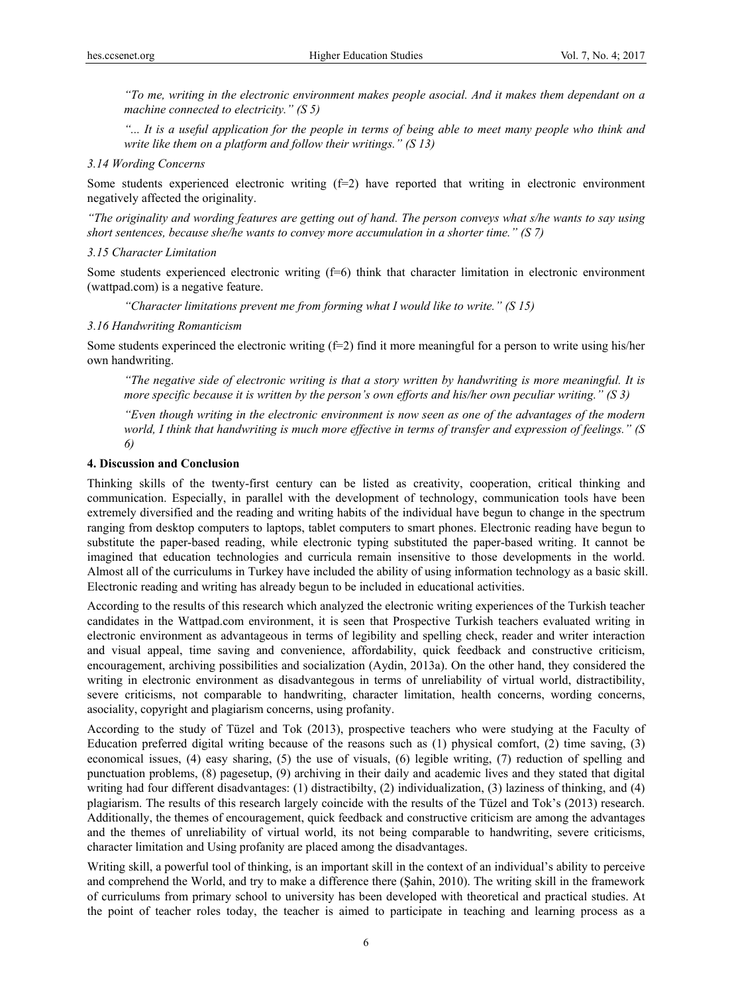*"To me, writing in the electronic environment makes people asocial. And it makes them dependant on a machine connected to electricity." (S 5)* 

*"... It is a useful application for the people in terms of being able to meet many people who think and write like them on a platform and follow their writings." (S 13)* 

#### *3.14 Wording Concerns*

Some students experienced electronic writing  $(f=2)$  have reported that writing in electronic environment negatively affected the originality.

*"The originality and wording features are getting out of hand. The person conveys what s/he wants to say using short sentences, because she/he wants to convey more accumulation in a shorter time." (S 7)* 

#### *3.15 Character Limitation*

Some students experienced electronic writing  $(f=6)$  think that character limitation in electronic environment (wattpad.com) is a negative feature.

*"Character limitations prevent me from forming what I would like to write." (S 15)* 

#### *3.16 Handwriting Romanticism*

Some students experinced the electronic writing  $(f=2)$  find it more meaningful for a person to write using his/her own handwriting.

*"The negative side of electronic writing is that a story written by handwriting is more meaningful. It is more specific because it is written by the person's own efforts and his/her own peculiar writing." (S 3)* 

*"Even though writing in the electronic environment is now seen as one of the advantages of the modern world, I think that handwriting is much more effective in terms of transfer and expression of feelings." (S 6)* 

## **4. Discussion and Conclusion**

Thinking skills of the twenty-first century can be listed as creativity, cooperation, critical thinking and communication. Especially, in parallel with the development of technology, communication tools have been extremely diversified and the reading and writing habits of the individual have begun to change in the spectrum ranging from desktop computers to laptops, tablet computers to smart phones. Electronic reading have begun to substitute the paper-based reading, while electronic typing substituted the paper-based writing. It cannot be imagined that education technologies and curricula remain insensitive to those developments in the world. Almost all of the curriculums in Turkey have included the ability of using information technology as a basic skill. Electronic reading and writing has already begun to be included in educational activities.

According to the results of this research which analyzed the electronic writing experiences of the Turkish teacher candidates in the Wattpad.com environment, it is seen that Prospective Turkish teachers evaluated writing in electronic environment as advantageous in terms of legibility and spelling check, reader and writer interaction and visual appeal, time saving and convenience, affordability, quick feedback and constructive criticism, encouragement, archiving possibilities and socialization (Aydin, 2013a). On the other hand, they considered the writing in electronic environment as disadvantegous in terms of unreliability of virtual world, distractibility, severe criticisms, not comparable to handwriting, character limitation, health concerns, wording concerns, asociality, copyright and plagiarism concerns, using profanity.

According to the study of Tüzel and Tok (2013), prospective teachers who were studying at the Faculty of Education preferred digital writing because of the reasons such as (1) physical comfort, (2) time saving, (3) economical issues, (4) easy sharing, (5) the use of visuals, (6) legible writing, (7) reduction of spelling and punctuation problems, (8) pagesetup, (9) archiving in their daily and academic lives and they stated that digital writing had four different disadvantages: (1) distractibilty, (2) individualization, (3) laziness of thinking, and (4) plagiarism. The results of this research largely coincide with the results of the Tüzel and Tok's (2013) research. Additionally, the themes of encouragement, quick feedback and constructive criticism are among the advantages and the themes of unreliability of virtual world, its not being comparable to handwriting, severe criticisms, character limitation and Using profanity are placed among the disadvantages.

Writing skill, a powerful tool of thinking, is an important skill in the context of an individual's ability to perceive and comprehend the World, and try to make a difference there (Şahin, 2010). The writing skill in the framework of curriculums from primary school to university has been developed with theoretical and practical studies. At the point of teacher roles today, the teacher is aimed to participate in teaching and learning process as a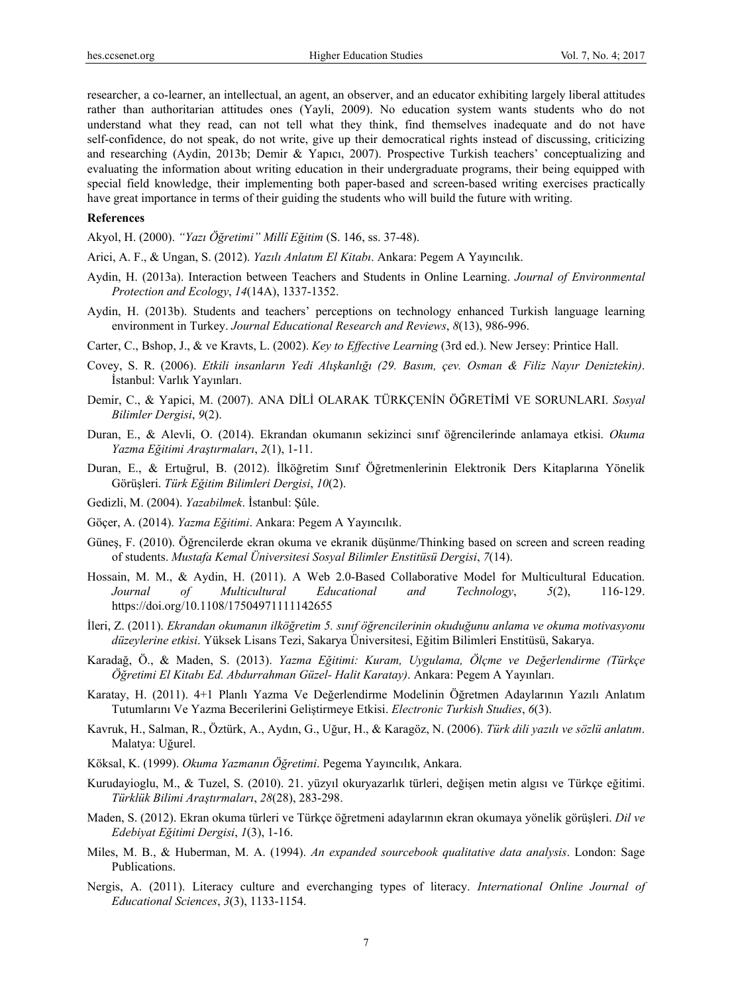researcher, a co-learner, an intellectual, an agent, an observer, and an educator exhibiting largely liberal attitudes rather than authoritarian attitudes ones (Yayli, 2009). No education system wants students who do not understand what they read, can not tell what they think, find themselves inadequate and do not have self-confidence, do not speak, do not write, give up their democratical rights instead of discussing, criticizing and researching (Aydin, 2013b; Demir & Yapıcı, 2007). Prospective Turkish teachers' conceptualizing and evaluating the information about writing education in their undergraduate programs, their being equipped with special field knowledge, their implementing both paper-based and screen-based writing exercises practically have great importance in terms of their guiding the students who will build the future with writing.

#### **References**

Akyol, H. (2000). *"Yazı Öğretimi" Millî Eğitim* (S. 146, ss. 37-48).

- Arici, A. F., & Ungan, S. (2012). *Yazılı Anlatım El Kitabı*. Ankara: Pegem A Yayıncılık.
- Aydin, H. (2013a). Interaction between Teachers and Students in Online Learning. *Journal of Environmental Protection and Ecology*, *14*(14A), 1337-1352.
- Aydin, H. (2013b). Students and teachers' perceptions on technology enhanced Turkish language learning environment in Turkey. *Journal Educational Research and Reviews*, *8*(13), 986-996.
- Carter, C., Bshop, J., & ve Kravts, L. (2002). *Key to Effective Learning* (3rd ed.). New Jersey: Printice Hall.
- Covey, S. R. (2006). *Etkili insanların Yedi Alışkanlığı (29. Basım, çev. Osman & Filiz Nayır Deniztekin)*. İstanbul: Varlık Yayınları.
- Demir, C., & Yapici, M. (2007). ANA DİLİ OLARAK TÜRKÇENİN ÖĞRETİMİ VE SORUNLARI. *Sosyal Bilimler Dergisi*, *9*(2).
- Duran, E., & Alevli, O. (2014). Ekrandan okumanın sekizinci sınıf öğrencilerinde anlamaya etkisi. *Okuma Yazma Eğitimi Araştırmaları*, *2*(1), 1-11.
- Duran, E., & Ertuğrul, B. (2012). İlköğretim Sınıf Öğretmenlerinin Elektronik Ders Kitaplarına Yönelik Görüşleri. *Türk Eğitim Bilimleri Dergisi*, *10*(2).
- Gedizli, M. (2004). *Yazabilmek*. İstanbul: Şûle.
- Göçer, A. (2014). *Yazma Eğitimi*. Ankara: Pegem A Yayıncılık.
- Güneş, F. (2010). Öğrencilerde ekran okuma ve ekranik düşünme/Thinking based on screen and screen reading of students. *Mustafa Kemal Üniversitesi Sosyal Bilimler Enstitüsü Dergisi*, *7*(14).
- Hossain, M. M., & Aydin, H. (2011). A Web 2.0-Based Collaborative Model for Multicultural Education. *Journal of Multicultural Educational and Technology*, *5*(2), 116-129. https://doi.org/10.1108/17504971111142655
- İleri, Z. (2011). *Ekrandan okumanın ilköğretim 5. sınıf öğrencilerinin okuduğunu anlama ve okuma motivasyonu düzeylerine etkisi*. Yüksek Lisans Tezi, Sakarya Üniversitesi, Eğitim Bilimleri Enstitüsü, Sakarya.
- Karadağ, Ö., & Maden, S. (2013). *Yazma Eğitimi: Kuram, Uygulama, Ölçme ve Değerlendirme (Türkçe Öğretimi El Kitabı Ed. Abdurrahman Güzel- Halit Karatay)*. Ankara: Pegem A Yayınları.
- Karatay, H. (2011). 4+1 Planlı Yazma Ve Değerlendirme Modelinin Öğretmen Adaylarının Yazılı Anlatım Tutumlarını Ve Yazma Becerilerini Geliştirmeye Etkisi. *Electronic Turkish Studies*, *6*(3).
- Kavruk, H., Salman, R., Öztürk, A., Aydın, G., Uğur, H., & Karagöz, N. (2006). *Türk dili yazılı ve sözlü anlatım*. Malatya: Uğurel.
- Köksal, K. (1999). *Okuma Yazmanın Öğretimi*. Pegema Yayıncılık, Ankara.
- Kurudayioglu, M., & Tuzel, S. (2010). 21. yüzyıl okuryazarlık türleri, değişen metin algısı ve Türkçe eğitimi. *Türklük Bilimi Araştırmaları*, *28*(28), 283-298.
- Maden, S. (2012). Ekran okuma türleri ve Türkçe öğretmeni adaylarının ekran okumaya yönelik görüşleri. *Dil ve Edebiyat Eğitimi Dergisi*, *1*(3), 1-16.
- Miles, M. B., & Huberman, M. A. (1994). *An expanded sourcebook qualitative data analysis*. London: Sage Publications.
- Nergis, A. (2011). Literacy culture and everchanging types of literacy. *International Online Journal of Educational Sciences*, *3*(3), 1133-1154.